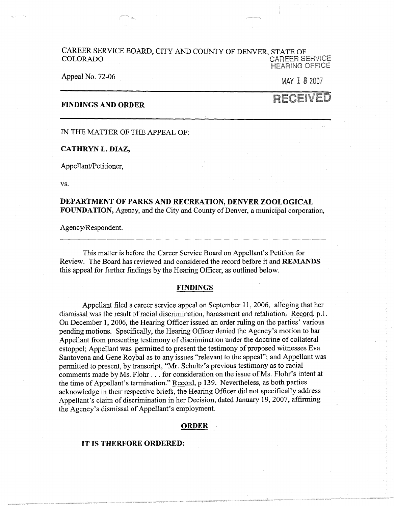### CAREER SERVICE BOARD, CITY AND COUNTY OF DENVER, STATE OF COLORADO CAREER SERVICE **HEARING OFFICE**

### Appeal No. 72-06

MAY l 8 2007

RECEIVED

# **FINDINGS AND ORDER**

IN THE MATTER OF THE APPEAL OF:

## **CATHRYN L. DIAZ,**

Appellant/Petitioner,

vs.

# **DEPARTMENT OF PARKS AND RECREATION, DENVER ZOOLOGICAL FOUNDATION,** Agency, and the City and County of Denver, a municipal corporation,

Agency/Respondent.

This matter is before the Career Service Board on Appellant's Petition for Review. The Board has reviewed and considered the record before it and **REMANDS**  this appeal for further findings by the Hearing Officer, as outlined below.

### **FINDINGS**

Appellant filed a career service appeal on September 11, 2006, alleging that her dismissal was the result of racial discrimination, harassment and retaliation; Record. p.1. On December 1, 2006, the Hearing Officer issued an order ruling on the parties' various pending motions. Specifically, the Hearing Officer denied the Agency's motion to bar Appellant from presenting testimony of discrimination under the doctrine of collateral estoppel; Appellant was permitted to present the testimony of proposed witnesses Eva Santovena and Gene Roybal as to any issues "relevant to the appeal"; and Appellant was permitted to present, by transcript, "Mr. Schultz's previous testimony as to racial comments made by Ms. Flohr ... for consideration on the issue of Ms. Flohr's intent at the time of Appellant's termination." Record, p 139. Nevertheless, as both parties acknowledge in their respective briefs, the Hearing Officer did not specifically address Appellant's claim of discrimination in her Decision, dated January 19, 2007, affirming the Agency's dismissal of Appellant's employment.

#### **ORDER**

### **IT IS THERFORE ORDERED:**